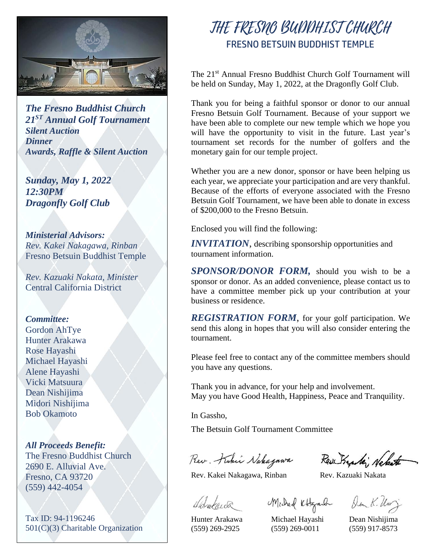

*The Fresno Buddhist Church 21 ST Annual Golf Tournament Silent Auction Dinner Awards, Raffle & Silent Auction*

*Sunday, May 1, 2022 12:30PM Dragonfly Golf Club*

*Ministerial Advisors: Rev. Kakei Nakagawa, Rinban* Fresno Betsuin Buddhist Temple

*Rev. Kazuaki Nakata, Minister* Central California District

#### *Committee:*

Gordon AhTye Hunter Arakawa Rose Hayashi Michael Hayashi Alene Hayashi Vicki Matsuura Dean Nishijima Midori Nishijima Bob Okamoto

*All Proceeds Benefit:* The Fresno Buddhist Church 2690 E. Alluvial Ave. Fresno, CA 93720 (559) 442-4054

Tax ID: 94-1196246 501(C)(3) Charitable Organization

# THE FRESNO BUDDHIST CHURCH FRESNO BETSUIN BUDDHIST TEMPLE

The 21<sup>st</sup> Annual Fresno Buddhist Church Golf Tournament will be held on Sunday, May 1, 2022, at the Dragonfly Golf Club.

Thank you for being a faithful sponsor or donor to our annual Fresno Betsuin Golf Tournament. Because of your support we have been able to complete our new temple which we hope you will have the opportunity to visit in the future. Last year's tournament set records for the number of golfers and the monetary gain for our temple project.

Whether you are a new donor, sponsor or have been helping us each year, we appreciate your participation and are very thankful. Because of the efforts of everyone associated with the Fresno Betsuin Golf Tournament, we have been able to donate in excess of \$200,000 to the Fresno Betsuin.

Enclosed you will find the following:

*INVITATION*, describing sponsorship opportunities and tournament information.

*SPONSOR/DONOR FORM,* should you wish to be a sponsor or donor. As an added convenience, please contact us to have a committee member pick up your contribution at your business or residence.

*REGISTRATION FORM*, for your golf participation. We send this along in hopes that you will also consider entering the tournament.

Please feel free to contact any of the committee members should you have any questions.

Thank you in advance, for your help and involvement. May you have Good Health, Happiness, Peace and Tranquility.

In Gassho,

The Betsuin Golf Tournament Committee

Rev. Kuku Nakagawa, Rev. Kan Kan Kan

Markarda Madrad Kthyandr Den K. Un

Hunter Arakawa Michael Hayashi Dean Nishijima (559) 269-2925 (559) 269-0011 (559) 917-8573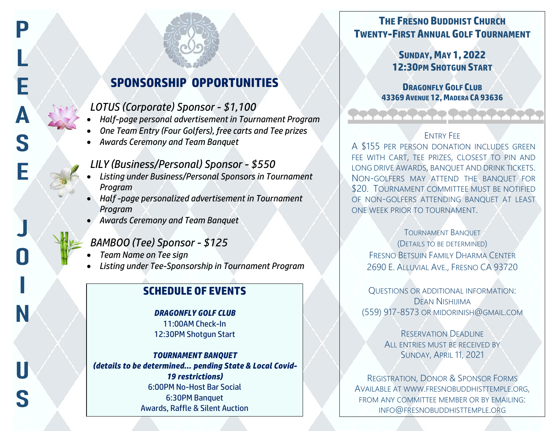# **SPONSORSHIP OPPORTUNITIES**

# *LOTUS (Corporate) Sponsor - \$1,100*

- *Half-page personal advertisement in Tournament Program*
- *One Team Entry (Four Golfers), free carts and Tee prizes*
- *Awards Ceremony and Team Banquet*

## *LILY (Business/Personal) Sponsor - \$550*

- *Listing under Business/Personal Sponsors in Tournament Program*
- *Half -page personalized advertisement in Tournament Program*
- *Awards Ceremony and Team Banquet*

## *BAMBOO (Tee) Sponsor - \$125*

• *Team Name on Tee sign*

P

• *Listing under Tee-Sponsorship in Tournament Program*

# **SCHEDULE OF EVENTS**

# *DRAGONFLY GOLF CLUB*

11:00AM Check-In 12:30PM Shotgun Start

#### *TOURNAMENT BANQUET (details to be determined… pending State & Local Covid-19 restrictions)* 6:00PM No-Host Bar Social 6:30PM Banquet Awards, Raffle & Silent Auction

# **THE FRESNO BUDDHIST CHURCH TWENTY-FIRST ANNUAL GOLF TOURNAMENT**

**SUNDAY, MAY 1, 2022 12:30PM SHOTGUN START**

#### **DRAGONFLY GOLF CLUB 43369 AVENUE 12, MADERA CA 93636**

#### ENTRY FEE

<u>a sa san an san an san an san an san an san an san an san an san an san an san an san an san an san an san an san an san an san an san an san an san an san an san an san an san an san an san an san an san an san an san an</u>

A \$155 PER PERSON DONATION INCLUDES GREEN FEE WITH CART, TEE PRIZES, CLOSEST TO PIN AND LONG DRIVE AWARDS, BANQUET AND DRINK TICKETS. NON-GOLFERS MAY ATTEND THE BANQUET FOR \$20. TOURNAMENT COMMITTEE MUST BE NOTIFIED OF NON-GOLFERS ATTENDING BANQUET AT LEAST ONE WEEK PRIOR TO TOURNAMENT.

#### TOURNAMENT BANQUET (DETAILS TO BE DETERMINED) FRESNO BETSUIN FAMILY DHARMA CENTER 2690 E. ALLUVIAL AVE., FRESNO CA 93720

QUESTIONS OR ADDITIONAL INFORMATION: DEAN NISHIJIMA (559) 917-8573 OR MIDORINISH@GMAIL.COM

> RESERVATION DEADLINE ALL ENTRIES MUST BE RECEIVED BY SUNDAY, APRIL 11, 2021

REGISTRATION, DONOR & SPONSOR FORMS AVAILABLE AT WWW.[FRESNOBUDDHISTTEMPLE](http://www.fresnobuddhisttemple.org/).ORG, FROM ANY COMMITTEE MEMBER OR BY EMAILING: INFO@FRESNOBUDDHISTTEMPLE.ORG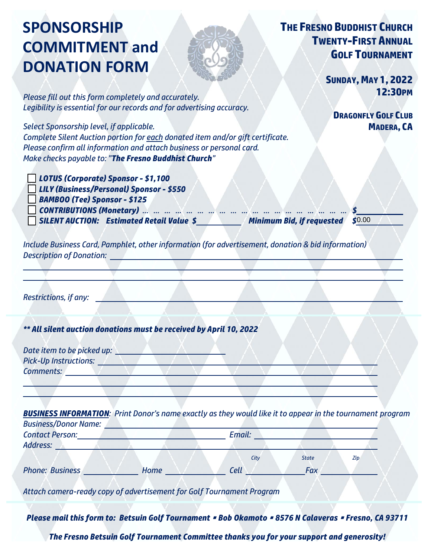# **SPONSORSHIP COMMITMENT and DONATION FORM**



# **THE FRESNO BUDDHIST CHURCH TWENTY-FIRST ANNUAL GOLF TOURNAMENT**

*Please fill out this form completely and accurately. Legibility is essential for our records and for advertising accuracy.*

*Select Sponsorship level, if applicable. Complete Silent Auction portion for each donated item and/or gift certificate. Please confirm all information and attach business or personal card. Make checks payable to: "The Fresno Buddhist Church"* 

o *LOTUS (Corporate) Sponsor - \$1,100* o *LILY (Business/Personal) Sponsor - \$550*

o *BAMBOO (Tee) Sponsor - \$125*

o *CONTRIBUTIONS (Monetary) … … … … … … … … … … … … … … … … … … … \$*

o *SILENT AUCTION: Estimated Retail Value \$ Minimum Bid, if requested \$*

 $$0.00$ 

*Include Business Card, Pamphlet, other information (for advertisement, donation & bid information) Description of Donation:* 

*Restrictions, if any:* 

*\*\* All silent auction donations must be received by April 10, 2022* 

| Date item to be picked up:<br><b>Pick-Up Instructions:</b> |  |  |  |  |
|------------------------------------------------------------|--|--|--|--|
| <b>Comments:</b>                                           |  |  |  |  |

**BUSINESS INFORMATION**: Print Donor's name exactly as they would like it to appear in the tournament program *Business/Donor Name:* 

| <b>Contact Person:</b><br>Address:                                                                   |      | Email:      |              |     |  |
|------------------------------------------------------------------------------------------------------|------|-------------|--------------|-----|--|
|                                                                                                      |      | City        | <b>State</b> | Zip |  |
| <b>Phone: Business</b>                                                                               | Home | <b>Cell</b> | <b>Fax</b>   |     |  |
| Attach camera-ready copy of advertisement for Golf Tournament Program                                |      |             |              |     |  |
| Diegoe mail this form to: Retsuin Golf Tournament & Rob Okamoto & REZE N Calgueras & Fresno, CA 9271 |      |             |              |     |  |

*Please mail this form to: Betsuin Golf Tournament* ▪ *Bob Okamoto* ▪ *8576 N Calaveras* ▪ *Fresno, CA 93711*

*The Fresno Betsuin Golf Tournament Committee thanks you for your support and generosity!*

**DRAGONFLY GOLF CLUB MADERA, CA**

**12:30PM**

**SUNDAY, MAY 1, 2022**